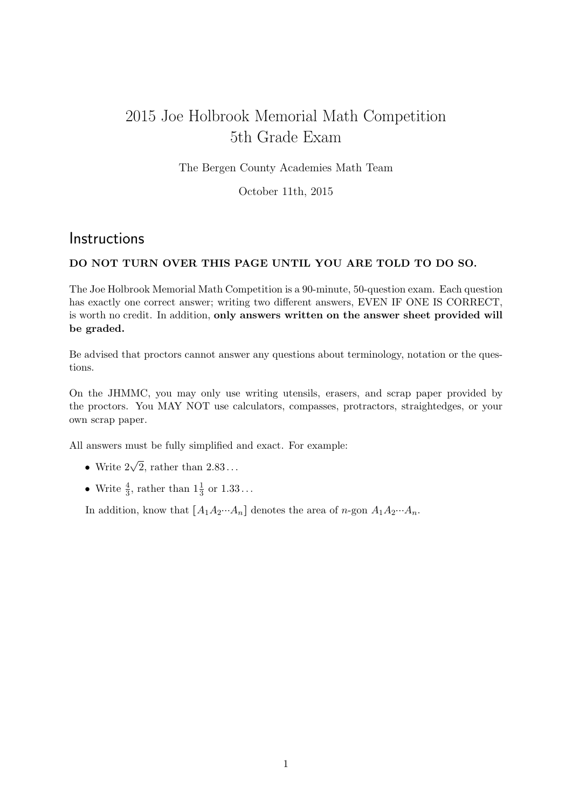## 2015 Joe Holbrook Memorial Math Competition 5th Grade Exam

The Bergen County Academies Math Team

October 11th, 2015

## **Instructions**

## DO NOT TURN OVER THIS PAGE UNTIL YOU ARE TOLD TO DO SO.

The Joe Holbrook Memorial Math Competition is a 90-minute, 50-question exam. Each question has exactly one correct answer; writing two different answers, EVEN IF ONE IS CORRECT, is worth no credit. In addition, only answers written on the answer sheet provided will be graded.

Be advised that proctors cannot answer any questions about terminology, notation or the questions.

On the JHMMC, you may only use writing utensils, erasers, and scrap paper provided by the proctors. You MAY NOT use calculators, compasses, protractors, straightedges, or your own scrap paper.

All answers must be fully simplified and exact. For example:

- Write  $2\sqrt{2}$ , rather than  $2.83...$
- Write  $\frac{4}{3}$ , rather than  $1\frac{1}{3}$  or  $1.33...$

In addition, know that  $[A_1A_2\cdots A_n]$  denotes the area of n-gon  $A_1A_2\cdots A_n$ .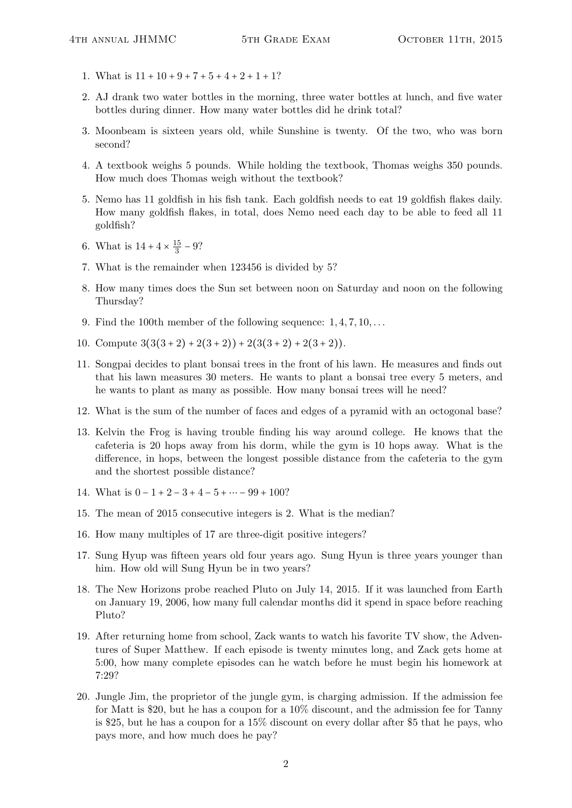- 1. What is  $11 + 10 + 9 + 7 + 5 + 4 + 2 + 1 + 1$ ?
- 2. AJ drank two water bottles in the morning, three water bottles at lunch, and five water bottles during dinner. How many water bottles did he drink total?
- 3. Moonbeam is sixteen years old, while Sunshine is twenty. Of the two, who was born second?
- 4. A textbook weighs 5 pounds. While holding the textbook, Thomas weighs 350 pounds. How much does Thomas weigh without the textbook?
- 5. Nemo has 11 goldfish in his fish tank. Each goldfish needs to eat 19 goldfish flakes daily. How many goldfish flakes, in total, does Nemo need each day to be able to feed all 11 goldfish?
- 6. What is  $14 + 4 \times \frac{15}{3}$  $\frac{15}{3}$  – 9?
- 7. What is the remainder when 123456 is divided by 5?
- 8. How many times does the Sun set between noon on Saturday and noon on the following Thursday?
- 9. Find the 100th member of the following sequence:  $1, 4, 7, 10, \ldots$
- 10. Compute  $3(3(3+2)+2(3+2))+2(3(3+2)+2(3+2)).$
- 11. Songpai decides to plant bonsai trees in the front of his lawn. He measures and finds out that his lawn measures 30 meters. He wants to plant a bonsai tree every 5 meters, and he wants to plant as many as possible. How many bonsai trees will he need?
- 12. What is the sum of the number of faces and edges of a pyramid with an octogonal base?
- 13. Kelvin the Frog is having trouble finding his way around college. He knows that the cafeteria is 20 hops away from his dorm, while the gym is 10 hops away. What is the difference, in hops, between the longest possible distance from the cafeteria to the gym and the shortest possible distance?
- 14. What is  $0 1 + 2 3 + 4 5 + \cdots 99 + 100$ ?
- 15. The mean of 2015 consecutive integers is 2. What is the median?
- 16. How many multiples of 17 are three-digit positive integers?
- 17. Sung Hyup was fifteen years old four years ago. Sung Hyun is three years younger than him. How old will Sung Hyun be in two years?
- 18. The New Horizons probe reached Pluto on July 14, 2015. If it was launched from Earth on January 19, 2006, how many full calendar months did it spend in space before reaching Pluto?
- 19. After returning home from school, Zack wants to watch his favorite TV show, the Adventures of Super Matthew. If each episode is twenty minutes long, and Zack gets home at 5:00, how many complete episodes can he watch before he must begin his homework at 7:29?
- 20. Jungle Jim, the proprietor of the jungle gym, is charging admission. If the admission fee for Matt is \$20, but he has a coupon for a 10% discount, and the admission fee for Tanny is \$25, but he has a coupon for a 15% discount on every dollar after \$5 that he pays, who pays more, and how much does he pay?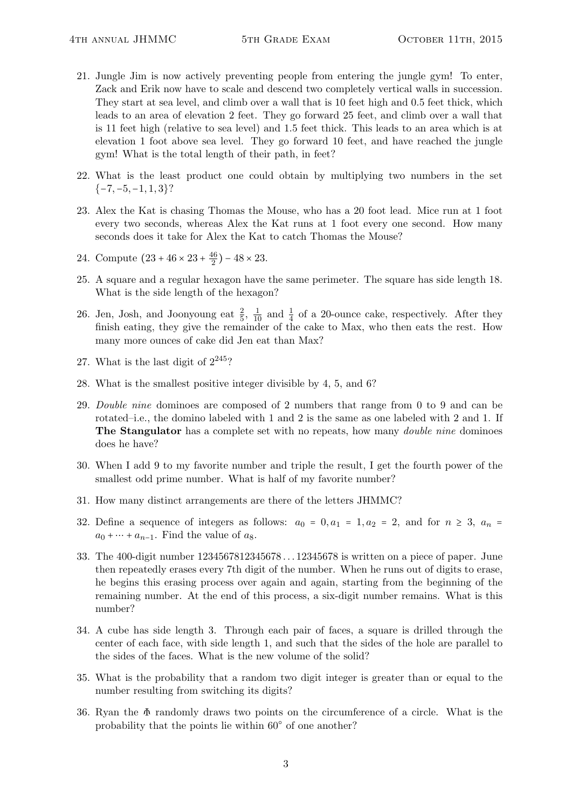- 21. Jungle Jim is now actively preventing people from entering the jungle gym! To enter, Zack and Erik now have to scale and descend two completely vertical walls in succession. They start at sea level, and climb over a wall that is 10 feet high and 0.5 feet thick, which leads to an area of elevation 2 feet. They go forward 25 feet, and climb over a wall that is 11 feet high (relative to sea level) and 1.5 feet thick. This leads to an area which is at elevation 1 foot above sea level. They go forward 10 feet, and have reached the jungle gym! What is the total length of their path, in feet?
- 22. What is the least product one could obtain by multiplying two numbers in the set  ${-7, -5, -1, 1, 3}$ ?
- 23. Alex the Kat is chasing Thomas the Mouse, who has a 20 foot lead. Mice run at 1 foot every two seconds, whereas Alex the Kat runs at 1 foot every one second. How many seconds does it take for Alex the Kat to catch Thomas the Mouse?
- 24. Compute  $(23 + 46 \times 23 + \frac{46}{2})$  $\frac{46}{2}$ ) – 48 × 23.
- 25. A square and a regular hexagon have the same perimeter. The square has side length 18. What is the side length of the hexagon?
- 26. Jen, Josh, and Joonyoung eat  $\frac{2}{5}$ ,  $\frac{1}{10}$  and  $\frac{1}{4}$  of a 20-ounce cake, respectively. After they finish eating, they give the remainder of the cake to Max, who then eats the rest. How many more ounces of cake did Jen eat than Max?
- 27. What is the last digit of  $2^{245}$ ?
- 28. What is the smallest positive integer divisible by 4, 5, and 6?
- 29. Double nine dominoes are composed of 2 numbers that range from 0 to 9 and can be rotated–i.e., the domino labeled with 1 and 2 is the same as one labeled with 2 and 1. If The Stangulator has a complete set with no repeats, how many *double nine* dominoes does he have?
- 30. When I add 9 to my favorite number and triple the result, I get the fourth power of the smallest odd prime number. What is half of my favorite number?
- 31. How many distinct arrangements are there of the letters JHMMC?
- 32. Define a sequence of integers as follows:  $a_0 = 0, a_1 = 1, a_2 = 2,$  and for  $n \ge 3, a_n =$  $a_0 + \cdots + a_{n-1}$ . Find the value of  $a_8$ .
- 33. The 400-digit number 1234567812345678 . . . 12345678 is written on a piece of paper. June then repeatedly erases every 7th digit of the number. When he runs out of digits to erase, he begins this erasing process over again and again, starting from the beginning of the remaining number. At the end of this process, a six-digit number remains. What is this number?
- 34. A cube has side length 3. Through each pair of faces, a square is drilled through the center of each face, with side length 1, and such that the sides of the hole are parallel to the sides of the faces. What is the new volume of the solid?
- 35. What is the probability that a random two digit integer is greater than or equal to the number resulting from switching its digits?
- 36. Ryan the Λ randomly draws two points on the circumference of a circle. What is the probability that the points lie within  $60^{\circ}$  of one another?